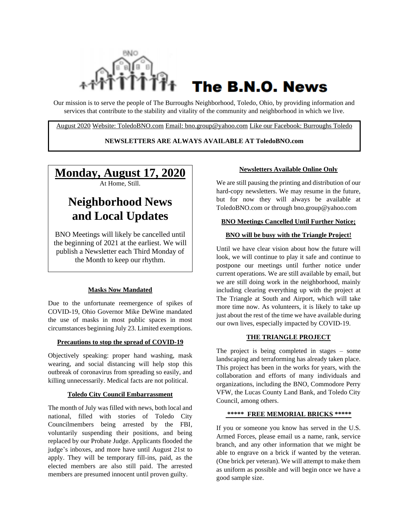

# The B.N.O. News

Our mission is to serve the people of The Burroughs Neighborhood, Toledo, Ohio, by providing information and services that contribute to the stability and vitality of the community and neighborhood in which we live.

August 2020 Website: ToledoBNO.com Email: bno.group@yahoo.com Like our Facebook: Burroughs Toledo

#### **NEWSLETTERS ARE ALWAYS AVAILABLE AT ToledoBNO.com**

## **Monday, August 17, 2020**

At Home, Still.

## **Neighborhood News and Local Updates**

BNO Meetings will likely be cancelled until the beginning of 2021 at the earliest. We will publish a Newsletter each Third Monday of the Month to keep our rhythm.

#### **Masks Now Mandated**

Due to the unfortunate reemergence of spikes of COVID-19, Ohio Governor Mike DeWine mandated the use of masks in most public spaces in most circumstances beginning July 23. Limited exemptions.

#### **Precautions to stop the spread of COVID-19**

Objectively speaking: proper hand washing, mask wearing, and social distancing will help stop this outbreak of coronavirus from spreading so easily, and killing unnecessarily. Medical facts are not political.

#### **Toledo City Council Embarrassment**

The month of July was filled with news, both local and national, filled with stories of Toledo City Councilmembers being arrested by the FBI, voluntarily suspending their positions, and being replaced by our Probate Judge. Applicants flooded the judge's inboxes, and more have until August 21st to apply. They will be temporary fill-ins, paid, as the elected members are also still paid. The arrested members are presumed innocent until proven guilty.

#### **Newsletters Available Online Only**

We are still pausing the printing and distribution of our hard-copy newsletters. We may resume in the future, but for now they will always be available at ToledoBNO.com or through bno.group@yahoo.com

#### **BNO Meetings Cancelled Until Further Notice;**

#### **BNO will be busy with the Triangle Project!**

Until we have clear vision about how the future will look, we will continue to play it safe and continue to postpone our meetings until further notice under current operations. We are still available by email, but we are still doing work in the neighborhood, mainly including clearing everything up with the project at The Triangle at South and Airport, which will take more time now. As volunteers, it is likely to take up just about the rest of the time we have available during our own lives, especially impacted by COVID-19.

#### **THE TRIANGLE PROJECT**

The project is being completed in stages – some landscaping and terraforming has already taken place. This project has been in the works for years, with the collaboration and efforts of many individuals and organizations, including the BNO, Commodore Perry VFW, the Lucas County Land Bank, and Toledo City Council, among others.

#### **\*\*\*\*\* FREE MEMORIAL BRICKS \*\*\*\*\***

If you or someone you know has served in the U.S. Armed Forces, please email us a name, rank, service branch, and any other information that we might be able to engrave on a brick if wanted by the veteran. (One brick per veteran). We will attempt to make them as uniform as possible and will begin once we have a good sample size.